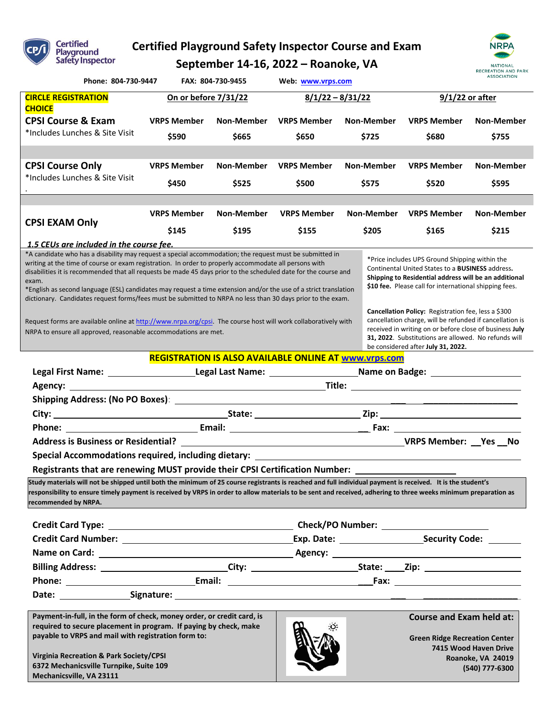

**6372 Mechanicsville Turnpike, Suite 109**

**Mechanicsville, VA 23111**

# **Certified Playground Safety Inspector Course and Exam**

**September 14-16, 2022 – Roanoke, VA**



**(540) 777-6300**

| Phone: 804-730-9447                                                                                                                                                                                                                                                                                                                                                                                                                                                                                                                                                                                                                                                                                  |                    | FAX: 804-730-9455 | Web: www.vrps.com                                                                                                                                                                                                                                                               |            |                                                                                         | <b>RECREATION AND PARK</b><br><b>ASSOCIATION</b> |  |
|------------------------------------------------------------------------------------------------------------------------------------------------------------------------------------------------------------------------------------------------------------------------------------------------------------------------------------------------------------------------------------------------------------------------------------------------------------------------------------------------------------------------------------------------------------------------------------------------------------------------------------------------------------------------------------------------------|--------------------|-------------------|---------------------------------------------------------------------------------------------------------------------------------------------------------------------------------------------------------------------------------------------------------------------------------|------------|-----------------------------------------------------------------------------------------|--------------------------------------------------|--|
| <b>CIRCLE REGISTRATION</b><br>On or before 7/31/22                                                                                                                                                                                                                                                                                                                                                                                                                                                                                                                                                                                                                                                   |                    |                   | $8/1/22 - 8/31/22$                                                                                                                                                                                                                                                              |            |                                                                                         | 9/1/22 or after                                  |  |
| <b>CHOICE</b>                                                                                                                                                                                                                                                                                                                                                                                                                                                                                                                                                                                                                                                                                        |                    |                   |                                                                                                                                                                                                                                                                                 |            |                                                                                         |                                                  |  |
| <b>CPSI Course &amp; Exam</b>                                                                                                                                                                                                                                                                                                                                                                                                                                                                                                                                                                                                                                                                        | <b>VRPS Member</b> | Non-Member        | <b>VRPS Member</b>                                                                                                                                                                                                                                                              | Non-Member | <b>VRPS Member</b>                                                                      | Non-Member                                       |  |
| *Includes Lunches & Site Visit                                                                                                                                                                                                                                                                                                                                                                                                                                                                                                                                                                                                                                                                       | \$590              | \$665             | \$650                                                                                                                                                                                                                                                                           | \$725      | \$680                                                                                   | \$755                                            |  |
|                                                                                                                                                                                                                                                                                                                                                                                                                                                                                                                                                                                                                                                                                                      |                    | Non-Member        | <b>VRPS Member</b>                                                                                                                                                                                                                                                              |            | <b>VRPS Member</b>                                                                      |                                                  |  |
| <b>CPSI Course Only</b><br>*Includes Lunches & Site Visit                                                                                                                                                                                                                                                                                                                                                                                                                                                                                                                                                                                                                                            | <b>VRPS Member</b> |                   |                                                                                                                                                                                                                                                                                 | Non-Member |                                                                                         | Non-Member                                       |  |
|                                                                                                                                                                                                                                                                                                                                                                                                                                                                                                                                                                                                                                                                                                      | \$450              | \$525             | \$500                                                                                                                                                                                                                                                                           | \$575      | \$520                                                                                   | \$595                                            |  |
|                                                                                                                                                                                                                                                                                                                                                                                                                                                                                                                                                                                                                                                                                                      | <b>VRPS Member</b> | Non-Member        | <b>VRPS Member</b>                                                                                                                                                                                                                                                              | Non-Member | <b>VRPS Member</b>                                                                      | <b>Non-Member</b>                                |  |
| <b>CPSI EXAM Only</b>                                                                                                                                                                                                                                                                                                                                                                                                                                                                                                                                                                                                                                                                                |                    |                   |                                                                                                                                                                                                                                                                                 |            |                                                                                         |                                                  |  |
|                                                                                                                                                                                                                                                                                                                                                                                                                                                                                                                                                                                                                                                                                                      | \$145              | \$195             | \$155                                                                                                                                                                                                                                                                           | \$205      | \$165                                                                                   | \$215                                            |  |
| <u>1.5 CEUs are included in the course fee.</u><br>*A candidate who has a disability may request a special accommodation; the request must be submitted in                                                                                                                                                                                                                                                                                                                                                                                                                                                                                                                                           |                    |                   |                                                                                                                                                                                                                                                                                 |            |                                                                                         |                                                  |  |
| *Price includes UPS Ground Shipping within the<br>writing at the time of course or exam registration. In order to properly accommodate all persons with<br>Continental United States to a <b>BUSINESS</b> address.<br>disabilities it is recommended that all requests be made 45 days prior to the scheduled date for the course and<br>Shipping to Residential address will be an additional<br>exam.<br>\$10 fee. Please call for international shipping fees.<br>*English as second language (ESL) candidates may request a time extension and/or the use of a strict translation<br>dictionary. Candidates request forms/fees must be submitted to NRPA no less than 30 days prior to the exam. |                    |                   |                                                                                                                                                                                                                                                                                 |            |                                                                                         |                                                  |  |
| Request forms are available online at http://www.nrpa.org/cpsi. The course host will work collaboratively with<br>NRPA to ensure all approved, reasonable accommodations are met.                                                                                                                                                                                                                                                                                                                                                                                                                                                                                                                    |                    |                   | <b>Cancellation Policy:</b> Registration fee, less a \$300<br>cancellation charge, will be refunded if cancellation is<br>received in writing on or before close of business July<br>31, 2022. Substitutions are allowed. No refunds will<br>be considered after July 31, 2022. |            |                                                                                         |                                                  |  |
|                                                                                                                                                                                                                                                                                                                                                                                                                                                                                                                                                                                                                                                                                                      |                    |                   | <b>REGISTRATION IS ALSO AVAILABLE ONLINE AT WWW.Vrps.com</b>                                                                                                                                                                                                                    |            |                                                                                         |                                                  |  |
| Legal First Name: ________________________Legal Last Name: _____________________Name on Badge: _______________                                                                                                                                                                                                                                                                                                                                                                                                                                                                                                                                                                                       |                    |                   |                                                                                                                                                                                                                                                                                 |            |                                                                                         |                                                  |  |
|                                                                                                                                                                                                                                                                                                                                                                                                                                                                                                                                                                                                                                                                                                      |                    |                   |                                                                                                                                                                                                                                                                                 |            |                                                                                         |                                                  |  |
| Shipping Address: (No PO Boxes): ____________                                                                                                                                                                                                                                                                                                                                                                                                                                                                                                                                                                                                                                                        |                    |                   |                                                                                                                                                                                                                                                                                 |            |                                                                                         |                                                  |  |
|                                                                                                                                                                                                                                                                                                                                                                                                                                                                                                                                                                                                                                                                                                      |                    |                   |                                                                                                                                                                                                                                                                                 |            |                                                                                         |                                                  |  |
| Phone:                                                                                                                                                                                                                                                                                                                                                                                                                                                                                                                                                                                                                                                                                               |                    |                   |                                                                                                                                                                                                                                                                                 |            |                                                                                         |                                                  |  |
| <b>Address is Business or Residential?</b>                                                                                                                                                                                                                                                                                                                                                                                                                                                                                                                                                                                                                                                           |                    |                   |                                                                                                                                                                                                                                                                                 |            | <b>MARIE SERVICES CONTROLS AND SERVICES CONTROLS CONTROLS AND SERVICES CONTROLS AND</b> |                                                  |  |
| Special Accommodations required, including dietary: ____________________________                                                                                                                                                                                                                                                                                                                                                                                                                                                                                                                                                                                                                     |                    |                   |                                                                                                                                                                                                                                                                                 |            |                                                                                         |                                                  |  |
| Registrants that are renewing MUST provide their CPSI Certification Number: _______________________                                                                                                                                                                                                                                                                                                                                                                                                                                                                                                                                                                                                  |                    |                   |                                                                                                                                                                                                                                                                                 |            |                                                                                         |                                                  |  |
| Study materials will not be shipped until both the minimum of 25 course registrants is reached and full individual payment is received. It is the student's<br>responsibility to ensure timely payment is received by VRPS in order to allow materials to be sent and received, adhering to three weeks minimum preparation as<br>recommended by NRPA.                                                                                                                                                                                                                                                                                                                                               |                    |                   |                                                                                                                                                                                                                                                                                 |            |                                                                                         |                                                  |  |
|                                                                                                                                                                                                                                                                                                                                                                                                                                                                                                                                                                                                                                                                                                      |                    |                   |                                                                                                                                                                                                                                                                                 |            |                                                                                         |                                                  |  |
|                                                                                                                                                                                                                                                                                                                                                                                                                                                                                                                                                                                                                                                                                                      |                    |                   |                                                                                                                                                                                                                                                                                 |            |                                                                                         |                                                  |  |
|                                                                                                                                                                                                                                                                                                                                                                                                                                                                                                                                                                                                                                                                                                      |                    |                   |                                                                                                                                                                                                                                                                                 |            |                                                                                         |                                                  |  |
|                                                                                                                                                                                                                                                                                                                                                                                                                                                                                                                                                                                                                                                                                                      |                    |                   |                                                                                                                                                                                                                                                                                 |            |                                                                                         |                                                  |  |
|                                                                                                                                                                                                                                                                                                                                                                                                                                                                                                                                                                                                                                                                                                      |                    |                   |                                                                                                                                                                                                                                                                                 |            |                                                                                         |                                                  |  |
|                                                                                                                                                                                                                                                                                                                                                                                                                                                                                                                                                                                                                                                                                                      |                    |                   |                                                                                                                                                                                                                                                                                 |            |                                                                                         |                                                  |  |
| Payment-in-full, in the form of check, money order, or credit card, is<br>required to secure placement in program. If paying by check, make<br>payable to VRPS and mail with registration form to:                                                                                                                                                                                                                                                                                                                                                                                                                                                                                                   |                    |                   |                                                                                                                                                                                                                                                                                 |            | <b>Course and Exam held at:</b><br><b>Green Ridge Recreation Center</b>                 |                                                  |  |

 $\mathbf{v}$